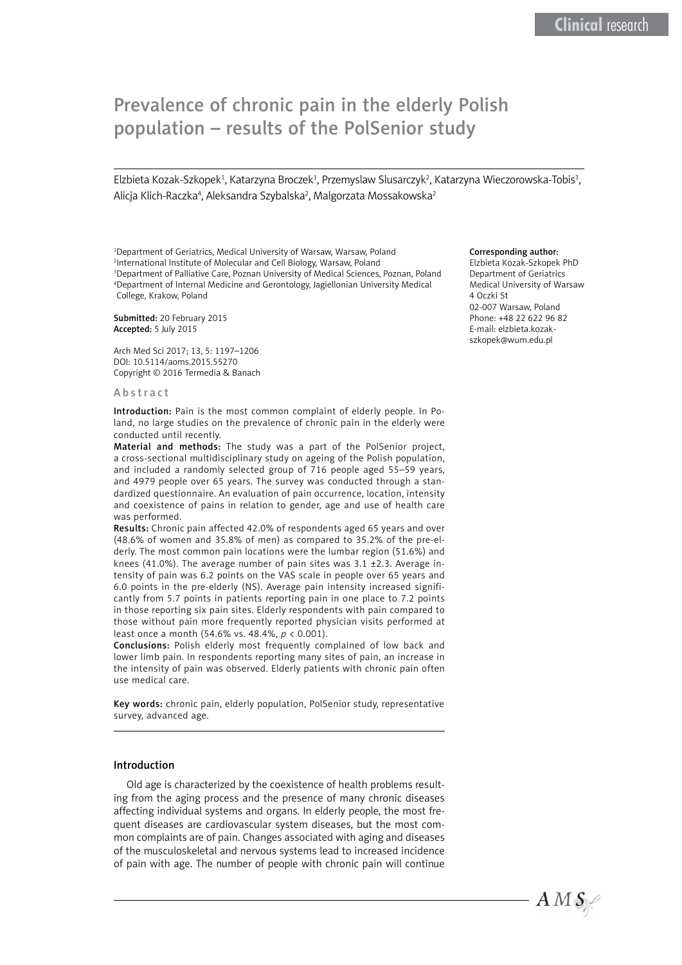# Prevalence of chronic pain in the elderly Polish population – results of the PolSenior study

Elzbieta Kozak-Szkopek<sup>1</sup>, Katarzyna Broczek<sup>1</sup>, Przemyslaw Slusarczyk<sup>2</sup>, Katarzyna Wieczorowska-Tobis<sup>3</sup>, Alicja Klich-Raczka<sup>4</sup>, Aleksandra Szybalska<sup>2</sup>, Malgorzata Mossakowska<sup>2</sup>

<sup>1</sup>Department of Geriatrics, Medical University of Warsaw, Warsaw, Poland 2 International Institute of Molecular and Cell Biology, Warsaw, Poland 3 Department of Palliative Care, Poznan University of Medical Sciences, Poznan, Poland 4 Department of Internal Medicine and Gerontology, Jagiellonian University Medical College, Krakow, Poland

Submitted: 20 February 2015 Accepted: 5 July 2015

Arch Med Sci 2017; 13, 5: 1197–1206 DOI: 10.5114/aoms.2015.55270 Copyright © 2016 Termedia & Banach

#### Abstract

Introduction: Pain is the most common complaint of elderly people. In Poland, no large studies on the prevalence of chronic pain in the elderly were conducted until recently.

Material and methods: The study was a part of the PolSenior project, a cross-sectional multidisciplinary study on ageing of the Polish population, and included a randomly selected group of 716 people aged 55–59 years, and 4979 people over 65 years. The survey was conducted through a standardized questionnaire. An evaluation of pain occurrence, location, intensity and coexistence of pains in relation to gender, age and use of health care was performed.

Results: Chronic pain affected 42.0% of respondents aged 65 years and over (48.6% of women and 35.8% of men) as compared to 35.2% of the pre-elderly. The most common pain locations were the lumbar region (51.6%) and knees (41.0%). The average number of pain sites was 3.1 ±2.3. Average intensity of pain was 6.2 points on the VAS scale in people over 65 years and 6.0 points in the pre-elderly (NS). Average pain intensity increased significantly from 5.7 points in patients reporting pain in one place to 7.2 points in those reporting six pain sites. Elderly respondents with pain compared to those without pain more frequently reported physician visits performed at least once a month (54.6% vs. 48.4%, *p* < 0.001).

Conclusions: Polish elderly most frequently complained of low back and lower limb pain. In respondents reporting many sites of pain, an increase in the intensity of pain was observed. Elderly patients with chronic pain often use medical care.

Key words: chronic pain, elderly population, PolSenior study, representative survey, advanced age.

#### Introduction

Old age is characterized by the coexistence of health problems resulting from the aging process and the presence of many chronic diseases affecting individual systems and organs. In elderly people, the most frequent diseases are cardiovascular system diseases, but the most common complaints are of pain. Changes associated with aging and diseases of the musculoskeletal and nervous systems lead to increased incidence of pain with age. The number of people with chronic pain will continue

# Corresponding author:

Elzbieta Kozak-Szkopek PhD Department of Geriatrics Medical University of Warsaw 4 Oczki St 02-007 Warsaw, Poland Phone: +48 22 622 96 82 E-mail: elzbieta.kozakszkopek@wum.edu.pl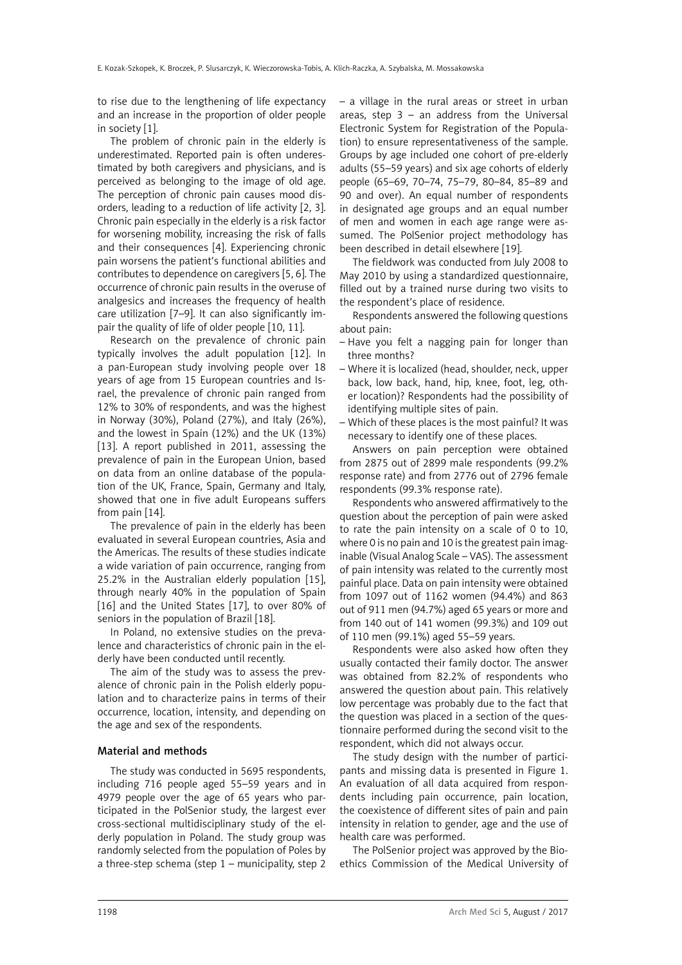to rise due to the lengthening of life expectancy and an increase in the proportion of older people in society [1].

The problem of chronic pain in the elderly is underestimated. Reported pain is often underestimated by both caregivers and physicians, and is perceived as belonging to the image of old age. The perception of chronic pain causes mood disorders, leading to a reduction of life activity [2, 3]. Chronic pain especially in the elderly is a risk factor for worsening mobility, increasing the risk of falls and their consequences [4]. Experiencing chronic pain worsens the patient's functional abilities and contributes to dependence on caregivers [5, 6]. The occurrence of chronic pain results in the overuse of analgesics and increases the frequency of health care utilization [7–9]. It can also significantly impair the quality of life of older people [10, 11].

Research on the prevalence of chronic pain typically involves the adult population [12]. In a pan-European study involving people over 18 years of age from 15 European countries and Israel, the prevalence of chronic pain ranged from 12% to 30% of respondents, and was the highest in Norway (30%), Poland (27%), and Italy (26%), and the lowest in Spain (12%) and the UK (13%) [13]. A report published in 2011, assessing the prevalence of pain in the European Union, based on data from an online database of the population of the UK, France, Spain, Germany and Italy, showed that one in five adult Europeans suffers from pain [14].

The prevalence of pain in the elderly has been evaluated in several European countries, Asia and the Americas. The results of these studies indicate a wide variation of pain occurrence, ranging from 25.2% in the Australian elderly population [15], through nearly 40% in the population of Spain [16] and the United States [17], to over 80% of seniors in the population of Brazil [18].

In Poland, no extensive studies on the prevalence and characteristics of chronic pain in the elderly have been conducted until recently.

The aim of the study was to assess the prevalence of chronic pain in the Polish elderly population and to characterize pains in terms of their occurrence, location, intensity, and depending on the age and sex of the respondents.

# Material and methods

The study was conducted in 5695 respondents, including 716 people aged 55–59 years and in 4979 people over the age of 65 years who participated in the PolSenior study, the largest ever cross-sectional multidisciplinary study of the elderly population in Poland. The study group was randomly selected from the population of Poles by a three-step schema (step 1 – municipality, step 2 – a village in the rural areas or street in urban areas, step  $3 -$  an address from the Universal Electronic System for Registration of the Population) to ensure representativeness of the sample. Groups by age included one cohort of pre-elderly adults (55–59 years) and six age cohorts of elderly people (65–69, 70–74, 75–79, 80–84, 85–89 and 90 and over). An equal number of respondents in designated age groups and an equal number of men and women in each age range were assumed. The PolSenior project methodology has been described in detail elsewhere [19].

The fieldwork was conducted from July 2008 to May 2010 by using a standardized questionnaire, filled out by a trained nurse during two visits to the respondent's place of residence.

Respondents answered the following questions about pain:

- Have you felt a nagging pain for longer than three months?
- Where it is localized (head, shoulder, neck, upper back, low back, hand, hip, knee, foot, leg, other location)? Respondents had the possibility of identifying multiple sites of pain.
- Which of these places is the most painful? It was necessary to identify one of these places.

Answers on pain perception were obtained from 2875 out of 2899 male respondents (99.2% response rate) and from 2776 out of 2796 female respondents (99.3% response rate).

Respondents who answered affirmatively to the question about the perception of pain were asked to rate the pain intensity on a scale of 0 to 10, where 0 is no pain and 10 is the greatest pain imaginable (Visual Analog Scale – VAS). The assessment of pain intensity was related to the currently most painful place. Data on pain intensity were obtained from 1097 out of 1162 women (94.4%) and 863 out of 911 men (94.7%) aged 65 years or more and from 140 out of 141 women (99.3%) and 109 out of 110 men (99.1%) aged 55–59 years.

Respondents were also asked how often they usually contacted their family doctor. The answer was obtained from 82.2% of respondents who answered the question about pain. This relatively low percentage was probably due to the fact that the question was placed in a section of the questionnaire performed during the second visit to the respondent, which did not always occur.

The study design with the number of participants and missing data is presented in Figure 1. An evaluation of all data acquired from respondents including pain occurrence, pain location, the coexistence of different sites of pain and pain intensity in relation to gender, age and the use of health care was performed.

The PolSenior project was approved by the Bioethics Commission of the Medical University of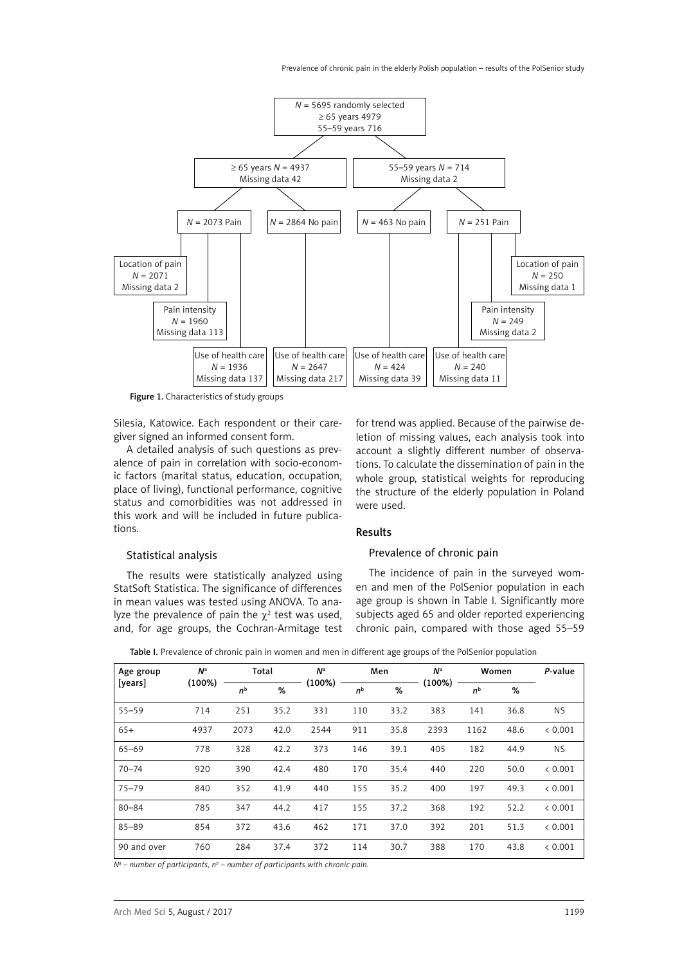

Figure 1. Characteristics of study groups

Silesia, Katowice. Each respondent or their caregiver signed an informed consent form.

A detailed analysis of such questions as prevalence of pain in correlation with socio-economic factors (marital status, education, occupation, place of living), functional performance, cognitive status and comorbidities was not addressed in this work and will be included in future publications.

#### Statistical analysis

The results were statistically analyzed using StatSoft Statistica. The significance of differences in mean values was tested using ANOVA. To analyze the prevalence of pain the  $\chi^2$  test was used, and, for age groups, the Cochran-Armitage test

for trend was applied. Because of the pairwise deletion of missing values, each analysis took into account a slightly different number of observations. To calculate the dissemination of pain in the whole group, statistical weights for reproducing the structure of the elderly population in Poland were used.

# Results

#### Prevalence of chronic pain

The incidence of pain in the surveyed women and men of the PolSenior population in each age group is shown in Table I. Significantly more subjects aged 65 and older reported experiencing chronic pain, compared with those aged 55–59

| Age group<br>[years] | N <sup>a</sup> | Total          |      | $N^{\rm a}$ |                | Men  | N <sup>a</sup> | Women          |      | P-value   |
|----------------------|----------------|----------------|------|-------------|----------------|------|----------------|----------------|------|-----------|
|                      | (100%)         | n <sup>b</sup> | %    | $(100\%)$   | n <sup>b</sup> | %    | $(100\%)$      | n <sup>b</sup> | %    |           |
| $55 - 59$            | 714            | 251            | 35.2 | 331         | 110            | 33.2 | 383            | 141            | 36.8 | NS.       |
| $65+$                | 4937           | 2073           | 42.0 | 2544        | 911            | 35.8 | 2393           | 1162           | 48.6 | & 0.001   |
| $65 - 69$            | 778            | 328            | 42.2 | 373         | 146            | 39.1 | 405            | 182            | 44.9 | <b>NS</b> |
| $70 - 74$            | 920            | 390            | 42.4 | 480         | 170            | 35.4 | 440            | 220            | 50.0 | & 0.001   |
| $75 - 79$            | 840            | 352            | 41.9 | 440         | 155            | 35.2 | 400            | 197            | 49.3 | & 0.001   |
| $80 - 84$            | 785            | 347            | 44.2 | 417         | 155            | 37.2 | 368            | 192            | 52.2 | & 0.001   |
| $85 - 89$            | 854            | 372            | 43.6 | 462         | 171            | 37.0 | 392            | 201            | 51.3 | & 0.001   |
| 90 and over          | 760            | 284            | 37.4 | 372         | 114            | 30.7 | 388            | 170            | 43.8 | < 0.001   |

Table I. Prevalence of chronic pain in women and men in different age groups of the PolSenior population

*Na – number of participants, nb – number of participants with chronic pain.*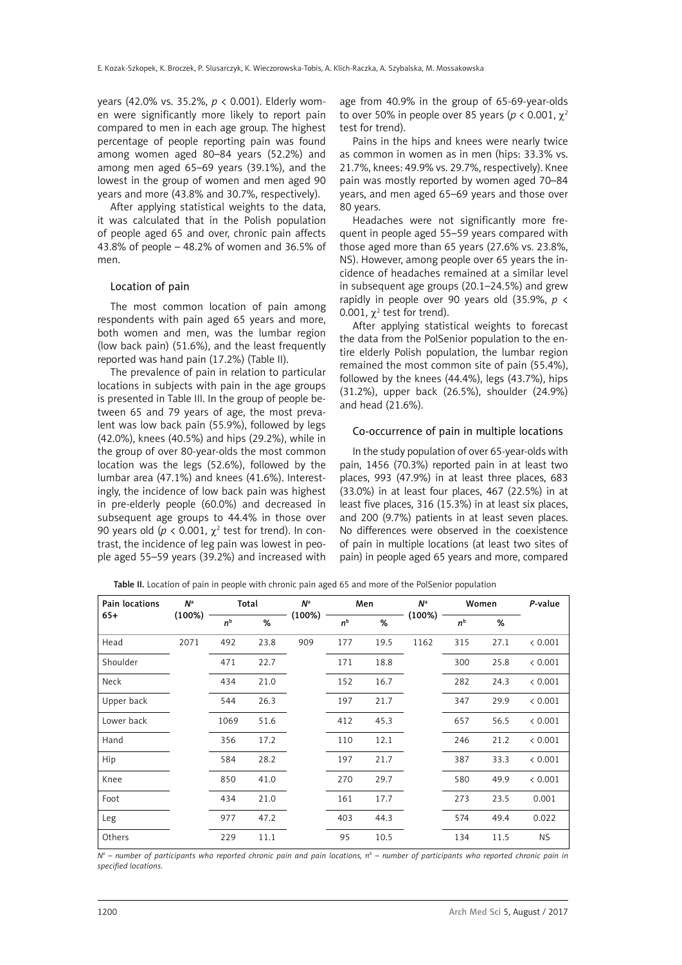years (42.0% vs. 35.2%, *p* < 0.001). Elderly women were significantly more likely to report pain compared to men in each age group. The highest percentage of people reporting pain was found among women aged 80–84 years (52.2%) and among men aged 65–69 years (39.1%), and the lowest in the group of women and men aged 90 years and more (43.8% and 30.7%, respectively).

After applying statistical weights to the data, it was calculated that in the Polish population of people aged 65 and over, chronic pain affects 43.8% of people – 48.2% of women and 36.5% of men.

## Location of pain

The most common location of pain among respondents with pain aged 65 years and more, both women and men, was the lumbar region (low back pain) (51.6%), and the least frequently reported was hand pain (17.2%) (Table II).

The prevalence of pain in relation to particular locations in subjects with pain in the age groups is presented in Table III. In the group of people between 65 and 79 years of age, the most prevalent was low back pain (55.9%), followed by legs (42.0%), knees (40.5%) and hips (29.2%), while in the group of over 80-year-olds the most common location was the legs (52.6%), followed by the lumbar area (47.1%) and knees (41.6%). Interestingly, the incidence of low back pain was highest in pre-elderly people (60.0%) and decreased in subsequent age groups to 44.4% in those over 90 years old ( $p < 0.001$ ,  $\chi^2$  test for trend). In contrast, the incidence of leg pain was lowest in people aged 55–59 years (39.2%) and increased with

age from 40.9% in the group of 65-69-year-olds to over 50% in people over 85 years (*p* < 0.001, χ<sup>2</sup> test for trend).

Pains in the hips and knees were nearly twice as common in women as in men (hips: 33.3% vs. 21.7%, knees: 49.9% vs. 29.7%, respectively). Knee pain was mostly reported by women aged 70–84 years, and men aged 65–69 years and those over 80 years.

Headaches were not significantly more frequent in people aged 55–59 years compared with those aged more than 65 years (27.6% vs. 23.8%, NS). However, among people over 65 years the incidence of headaches remained at a similar level in subsequent age groups (20.1–24.5%) and grew rapidly in people over 90 years old (35.9%, *p* < 0.001,  $\chi^2$  test for trend).

After applying statistical weights to forecast the data from the PolSenior population to the entire elderly Polish population, the lumbar region remained the most common site of pain (55.4%), followed by the knees (44.4%), legs (43.7%), hips (31.2%), upper back (26.5%), shoulder (24.9%) and head (21.6%).

## Co-occurrence of pain in multiple locations

In the study population of over 65-year-olds with pain, 1456 (70.3%) reported pain in at least two places, 993 (47.9%) in at least three places, 683 (33.0%) in at least four places, 467 (22.5%) in at least five places, 316 (15.3%) in at least six places, and 200 (9.7%) patients in at least seven places. No differences were observed in the coexistence of pain in multiple locations (at least two sites of pain) in people aged 65 years and more, compared

| Pain locations | N <sup>a</sup> |                | Total | N <sup>a</sup> |                | Men  | N <sup>a</sup> | Women          |      | P-value |
|----------------|----------------|----------------|-------|----------------|----------------|------|----------------|----------------|------|---------|
| $65+$          | $(100\%)$      | n <sup>b</sup> | %     | (100%)         | n <sup>b</sup> | %    | (100%)         | n <sup>b</sup> | %    |         |
| Head           | 2071           | 492            | 23.8  | 909            | 177            | 19.5 | 1162           | 315            | 27.1 | < 0.001 |
| Shoulder       |                | 471            | 22.7  |                | 171            | 18.8 |                | 300            | 25.8 | < 0.001 |
| Neck           |                | 434            | 21.0  |                | 152            | 16.7 |                | 282            | 24.3 | < 0.001 |
| Upper back     |                | 544            | 26.3  |                | 197            | 21.7 |                | 347            | 29.9 | < 0.001 |
| Lower back     |                | 1069           | 51.6  |                | 412            | 45.3 |                | 657            | 56.5 | < 0.001 |
| Hand           |                | 356            | 17.2  |                | 110            | 12.1 |                | 246            | 21.2 | < 0.001 |
| Hip            |                | 584            | 28.2  |                | 197            | 21.7 |                | 387            | 33.3 | < 0.001 |
| Knee           |                | 850            | 41.0  |                | 270            | 29.7 |                | 580            | 49.9 | < 0.001 |
| Foot           |                | 434            | 21.0  |                | 161            | 17.7 |                | 273            | 23.5 | 0.001   |
| Leg            |                | 977            | 47.2  |                | 403            | 44.3 |                | 574            | 49.4 | 0.022   |
| Others         |                | 229            | 11.1  |                | 95             | 10.5 |                | 134            | 11.5 | NS.     |

Table II. Location of pain in people with chronic pain aged 65 and more of the PolSenior population

 $N^a$  – number of participants who reported chronic pain and pain locations, n<sup>b</sup> – number of participants who reported chronic pain in *specified locations.*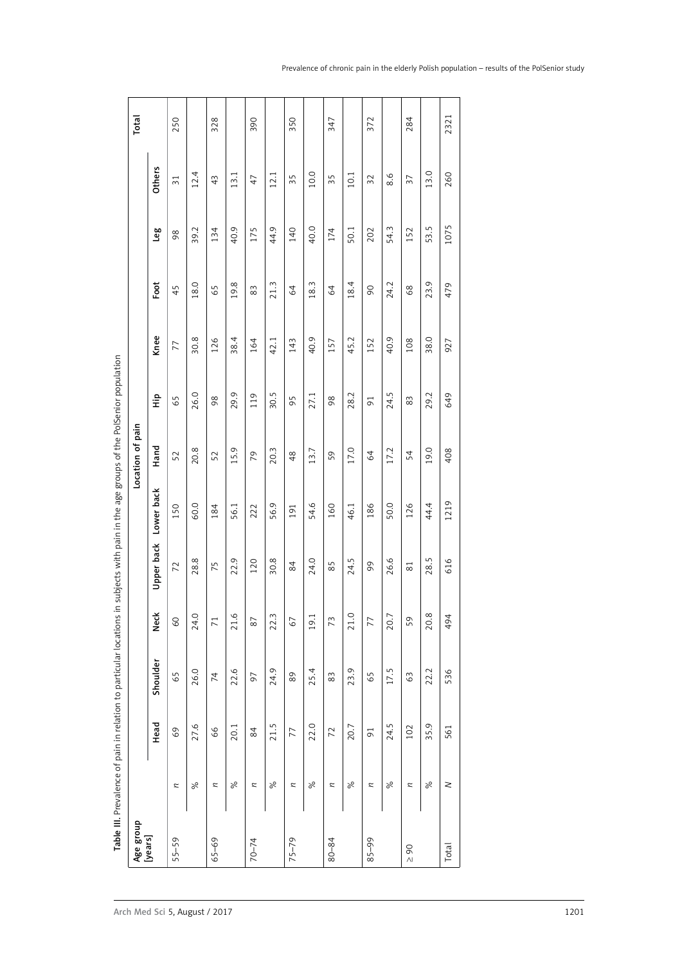| Foot<br>18.4<br>24.2<br>18.0<br>19.8<br>21.3<br>18.3<br>64<br>45<br>65<br>$83\,$<br>64<br>$\infty$<br>68<br>Knee<br>38.4<br>40.9<br>40.9<br>30.8<br>45.2<br>108<br>126<br>164<br>42.1<br>143<br>157<br>152<br>77<br>24.5<br>29.9<br>30.5<br>26.0<br>28.2<br>119<br>27.1<br>흪<br>95<br>98<br>65<br>$\rm 98$<br>83<br>$\overline{91}$<br>Hand<br>17.0<br>20.8<br>20.3<br>17.2<br>15.9<br>13.7<br>48<br>52<br>52<br>79<br>54<br>59<br>64<br>Lower back<br>54.6<br>60.0<br>56.9<br>50.0<br>56.1<br>160<br>46.1<br>186<br>126<br>150<br>184<br>191<br>222<br>Upper back<br>24.0<br>26.6<br>28.8<br>22.9<br>30.8<br>24.5<br>120<br>75<br>85<br>99<br>$\overline{7}$<br>84<br>$\overline{8}1$<br>×<br>24.0<br>21.6<br>22.3<br>19.1<br>21.0<br>20.7<br>ن<br>ع<br>59<br>60<br>73<br>77<br>$\overline{71}$<br>87<br>67<br>Shoulder<br>23.9<br>17.5<br>26.0<br>22.6<br>24.9<br>25.4<br>89<br>65<br>$83\,$<br>63<br>59<br>$\overline{7}$<br>56<br>Head<br>21.5<br>22.0<br>24.5<br>27.6<br>20.1<br>20.7<br>102<br>66<br>77<br>$\overline{91}$<br>84<br>72<br>69<br>8 <sup>o</sup><br>$\%$<br>$\%$<br>$\%$<br>$\%$<br>$\%$<br>$\mathtt{z}$<br>$\thickapprox$<br>$\approx$<br>$\approx$<br>$\approx$<br>$\thickapprox$<br>$\approx$<br>[years]<br>$75 - 79$<br>$65 - 69$<br>$55 - 59$<br>80-84<br>$85 - 99$<br>$70 - 74$<br>$\overline{6}$<br>$\wedge$ |          |      |      |      |      |      | pain<br>Location of |      |      |      |      |                 |  |
|-----------------------------------------------------------------------------------------------------------------------------------------------------------------------------------------------------------------------------------------------------------------------------------------------------------------------------------------------------------------------------------------------------------------------------------------------------------------------------------------------------------------------------------------------------------------------------------------------------------------------------------------------------------------------------------------------------------------------------------------------------------------------------------------------------------------------------------------------------------------------------------------------------------------------------------------------------------------------------------------------------------------------------------------------------------------------------------------------------------------------------------------------------------------------------------------------------------------------------------------------------------------------------------------------------------------------------------------|----------|------|------|------|------|------|---------------------|------|------|------|------|-----------------|--|
|                                                                                                                                                                                                                                                                                                                                                                                                                                                                                                                                                                                                                                                                                                                                                                                                                                                                                                                                                                                                                                                                                                                                                                                                                                                                                                                                         |          |      |      |      |      |      |                     |      |      |      | Leg  | <b>Others</b>   |  |
|                                                                                                                                                                                                                                                                                                                                                                                                                                                                                                                                                                                                                                                                                                                                                                                                                                                                                                                                                                                                                                                                                                                                                                                                                                                                                                                                         |          |      |      |      |      |      |                     |      |      |      | 98   | $\overline{31}$ |  |
|                                                                                                                                                                                                                                                                                                                                                                                                                                                                                                                                                                                                                                                                                                                                                                                                                                                                                                                                                                                                                                                                                                                                                                                                                                                                                                                                         |          |      |      |      |      |      |                     |      |      |      | 39.2 | 12.4            |  |
|                                                                                                                                                                                                                                                                                                                                                                                                                                                                                                                                                                                                                                                                                                                                                                                                                                                                                                                                                                                                                                                                                                                                                                                                                                                                                                                                         |          |      |      |      |      |      |                     |      |      |      | 134  | 43              |  |
|                                                                                                                                                                                                                                                                                                                                                                                                                                                                                                                                                                                                                                                                                                                                                                                                                                                                                                                                                                                                                                                                                                                                                                                                                                                                                                                                         |          |      |      |      |      |      |                     |      |      |      | 40.9 | 13.1            |  |
|                                                                                                                                                                                                                                                                                                                                                                                                                                                                                                                                                                                                                                                                                                                                                                                                                                                                                                                                                                                                                                                                                                                                                                                                                                                                                                                                         |          |      |      |      |      |      |                     |      |      |      | 175  | 47              |  |
|                                                                                                                                                                                                                                                                                                                                                                                                                                                                                                                                                                                                                                                                                                                                                                                                                                                                                                                                                                                                                                                                                                                                                                                                                                                                                                                                         |          |      |      |      |      |      |                     |      |      |      | 44.9 | 12.1            |  |
|                                                                                                                                                                                                                                                                                                                                                                                                                                                                                                                                                                                                                                                                                                                                                                                                                                                                                                                                                                                                                                                                                                                                                                                                                                                                                                                                         |          |      |      |      |      |      |                     |      |      |      | 140  | 35              |  |
|                                                                                                                                                                                                                                                                                                                                                                                                                                                                                                                                                                                                                                                                                                                                                                                                                                                                                                                                                                                                                                                                                                                                                                                                                                                                                                                                         |          |      |      |      |      |      |                     |      |      |      | 40.0 | 10.0            |  |
|                                                                                                                                                                                                                                                                                                                                                                                                                                                                                                                                                                                                                                                                                                                                                                                                                                                                                                                                                                                                                                                                                                                                                                                                                                                                                                                                         |          |      |      |      |      |      |                     |      |      |      | 174  | 35              |  |
|                                                                                                                                                                                                                                                                                                                                                                                                                                                                                                                                                                                                                                                                                                                                                                                                                                                                                                                                                                                                                                                                                                                                                                                                                                                                                                                                         |          |      |      |      |      |      |                     |      |      |      | 50.1 | 10.1            |  |
|                                                                                                                                                                                                                                                                                                                                                                                                                                                                                                                                                                                                                                                                                                                                                                                                                                                                                                                                                                                                                                                                                                                                                                                                                                                                                                                                         |          |      |      |      |      |      |                     |      |      |      | 202  | $\overline{32}$ |  |
|                                                                                                                                                                                                                                                                                                                                                                                                                                                                                                                                                                                                                                                                                                                                                                                                                                                                                                                                                                                                                                                                                                                                                                                                                                                                                                                                         |          |      |      |      |      |      |                     |      |      |      | 54.3 | 8.6             |  |
|                                                                                                                                                                                                                                                                                                                                                                                                                                                                                                                                                                                                                                                                                                                                                                                                                                                                                                                                                                                                                                                                                                                                                                                                                                                                                                                                         |          |      |      |      |      |      |                     |      |      |      | 152  | 37              |  |
|                                                                                                                                                                                                                                                                                                                                                                                                                                                                                                                                                                                                                                                                                                                                                                                                                                                                                                                                                                                                                                                                                                                                                                                                                                                                                                                                         | $\aleph$ | 35.9 | 22.2 | 20.8 | 28.5 | 44.4 | 19.0                | 29.2 | 38.0 | 23.9 | 53.5 | 13.0            |  |
| 479<br>927<br>649<br>408<br>1219<br>616<br>494<br>536<br>561<br>$\geq$<br><b>Total</b>                                                                                                                                                                                                                                                                                                                                                                                                                                                                                                                                                                                                                                                                                                                                                                                                                                                                                                                                                                                                                                                                                                                                                                                                                                                  |          |      |      |      |      |      |                     |      |      |      | 1075 | 260             |  |

 $\overline{\phantom{0}}$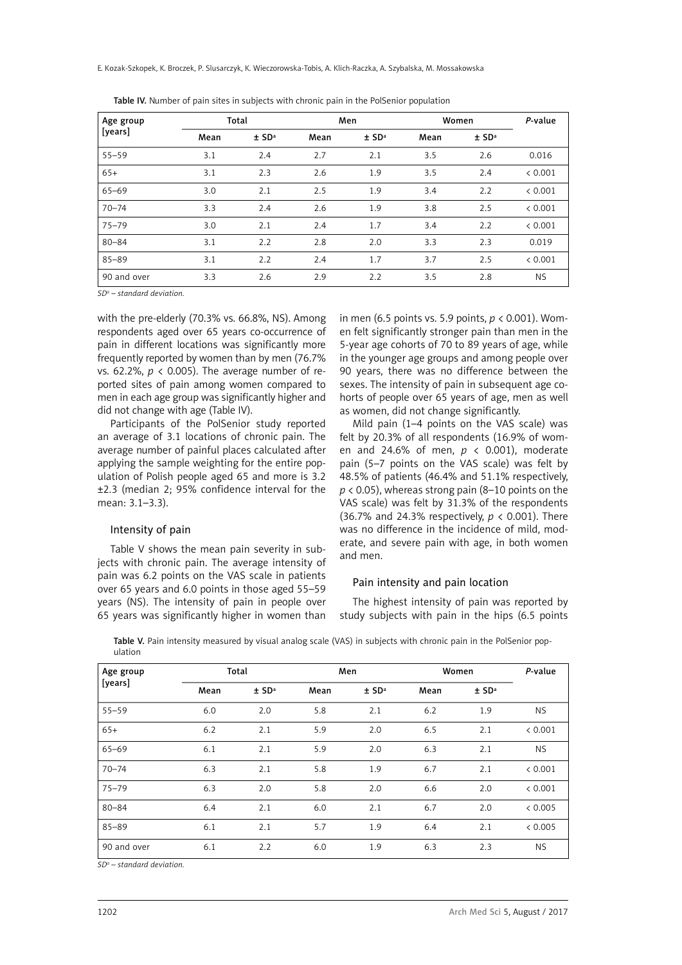E. Kozak-Szkopek, K. Broczek, P. Slusarczyk, K. Wieczorowska-Tobis, A. Klich-Raczka, A. Szybalska, M. Mossakowska

| Age group   |      | Total               |      | Men                 | Women | P-value             |           |
|-------------|------|---------------------|------|---------------------|-------|---------------------|-----------|
| [years]     | Mean | $±$ SD <sup>a</sup> | Mean | $±$ SD <sup>a</sup> | Mean  | $±$ SD <sup>a</sup> |           |
| $55 - 59$   | 3.1  | 2.4                 | 2.7  | 2.1                 | 3.5   | 2.6                 | 0.016     |
| $65+$       | 3.1  | 2.3                 | 2.6  | 1.9                 | 3.5   | 2.4                 | < 0.001   |
| 65-69       | 3.0  | 2.1                 | 2.5  | 1.9                 | 3.4   | 2.2                 | < 0.001   |
| $70 - 74$   | 3.3  | 2.4                 | 2.6  | 1.9                 | 3.8   | 2.5                 | < 0.001   |
| 75-79       | 3.0  | 2.1                 | 2.4  | 1.7                 | 3.4   | 2.2                 | < 0.001   |
| $80 - 84$   | 3.1  | 2.2                 | 2.8  | 2.0                 | 3.3   | 2.3                 | 0.019     |
| $85 - 89$   | 3.1  | 2.2                 | 2.4  | 1.7                 | 3.7   | 2.5                 | & 0.001   |
| 90 and over | 3.3  | 2.6                 | 2.9  | 2.2                 | 3.5   | 2.8                 | <b>NS</b> |

Table IV. Number of pain sites in subjects with chronic pain in the PolSenior population

*SDa – standard deviation.*

with the pre-elderly (70.3% vs. 66.8%, NS). Among respondents aged over 65 years co-occurrence of pain in different locations was significantly more frequently reported by women than by men (76.7% vs. 62.2%, *p* < 0.005). The average number of reported sites of pain among women compared to men in each age group was significantly higher and did not change with age (Table IV).

Participants of the PolSenior study reported an average of 3.1 locations of chronic pain. The average number of painful places calculated after applying the sample weighting for the entire population of Polish people aged 65 and more is 3.2 ±2.3 (median 2; 95% confidence interval for the mean: 3.1–3.3).

## Intensity of pain

Table V shows the mean pain severity in subjects with chronic pain. The average intensity of pain was 6.2 points on the VAS scale in patients over 65 years and 6.0 points in those aged 55–59 years (NS). The intensity of pain in people over 65 years was significantly higher in women than in men (6.5 points vs. 5.9 points, *p* < 0.001). Women felt significantly stronger pain than men in the 5-year age cohorts of 70 to 89 years of age, while in the younger age groups and among people over 90 years, there was no difference between the sexes. The intensity of pain in subsequent age cohorts of people over 65 years of age, men as well as women, did not change significantly.

Mild pain (1–4 points on the VAS scale) was felt by 20.3% of all respondents (16.9% of women and 24.6% of men, *p* < 0.001), moderate pain (5–7 points on the VAS scale) was felt by 48.5% of patients (46.4% and 51.1% respectively, *p* < 0.05), whereas strong pain (8–10 points on the VAS scale) was felt by 31.3% of the respondents (36.7% and 24.3% respectively, *p* < 0.001). There was no difference in the incidence of mild, moderate, and severe pain with age, in both women and men.

## Pain intensity and pain location

The highest intensity of pain was reported by study subjects with pain in the hips (6.5 points

| Age group   |      | Total               |      | Men                 | Women | P-value             |           |
|-------------|------|---------------------|------|---------------------|-------|---------------------|-----------|
| [years]     | Mean | $±$ SD <sup>a</sup> | Mean | $±$ SD <sup>a</sup> | Mean  | $±$ SD <sup>a</sup> |           |
| $55 - 59$   | 6.0  | 2.0                 | 5.8  | 2.1                 | 6.2   | 1.9                 | <b>NS</b> |
| $65+$       | 6.2  | 2.1                 | 5.9  | 2.0                 | 6.5   | 2.1                 | < 0.001   |
| $65 - 69$   | 6.1  | 2.1                 | 5.9  | 2.0                 | 6.3   | 2.1                 | <b>NS</b> |
| $70 - 74$   | 6.3  | 2.1                 | 5.8  | 1.9                 | 6.7   | 2.1                 | < 0.001   |
| $75 - 79$   | 6.3  | 2.0                 | 5.8  | 2.0                 | 6.6   | 2.0                 | < 0.001   |
| $80 - 84$   | 6.4  | 2.1                 | 6.0  | 2.1                 | 6.7   | 2.0                 | < 0.005   |
| $85 - 89$   | 6.1  | 2.1                 | 5.7  | 1.9                 | 6.4   | 2.1                 | & 0.005   |
| 90 and over | 6.1  | 2.2                 | 6.0  | 1.9                 | 6.3   | 2.3                 | <b>NS</b> |

Table V. Pain intensity measured by visual analog scale (VAS) in subjects with chronic pain in the PolSenior population

*SDa – standard deviation.*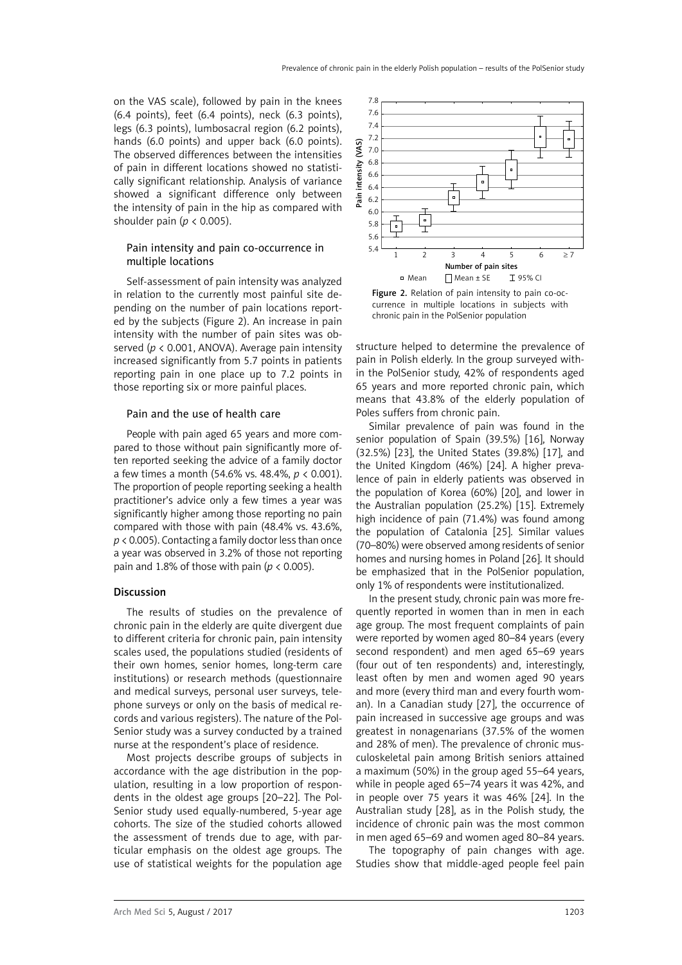on the VAS scale), followed by pain in the knees (6.4 points), feet (6.4 points), neck (6.3 points), legs (6.3 points), lumbosacral region (6.2 points), hands (6.0 points) and upper back (6.0 points). The observed differences between the intensities of pain in different locations showed no statistically significant relationship. Analysis of variance showed a significant difference only between the intensity of pain in the hip as compared with shoulder pain (*p* < 0.005).

# Pain intensity and pain co-occurrence in multiple locations

Self-assessment of pain intensity was analyzed in relation to the currently most painful site depending on the number of pain locations reported by the subjects (Figure 2). An increase in pain intensity with the number of pain sites was observed (*p* < 0.001, ANOVA). Average pain intensity increased significantly from 5.7 points in patients reporting pain in one place up to 7.2 points in those reporting six or more painful places.

### Pain and the use of health care

People with pain aged 65 years and more compared to those without pain significantly more often reported seeking the advice of a family doctor a few times a month (54.6% vs. 48.4%, *p* < 0.001). The proportion of people reporting seeking a health practitioner's advice only a few times a year was significantly higher among those reporting no pain compared with those with pain (48.4% vs. 43.6%, *p* < 0.005). Contacting a family doctor less than once a year was observed in 3.2% of those not reporting pain and 1.8% of those with pain ( $p < 0.005$ ).

### Discussion

The results of studies on the prevalence of chronic pain in the elderly are quite divergent due to different criteria for chronic pain, pain intensity scales used, the populations studied (residents of their own homes, senior homes, long-term care institutions) or research methods (questionnaire and medical surveys, personal user surveys, telephone surveys or only on the basis of medical records and various registers). The nature of the Pol-Senior study was a survey conducted by a trained nurse at the respondent's place of residence.

Most projects describe groups of subjects in accordance with the age distribution in the population, resulting in a low proportion of respondents in the oldest age groups [20–22]. The Pol-Senior study used equally-numbered, 5-year age cohorts. The size of the studied cohorts allowed the assessment of trends due to age, with particular emphasis on the oldest age groups. The use of statistical weights for the population age



Figure 2. Relation of pain intensity to pain co-occurrence in multiple locations in subjects with chronic pain in the PolSenior population

structure helped to determine the prevalence of pain in Polish elderly. In the group surveyed within the PolSenior study, 42% of respondents aged 65 years and more reported chronic pain, which means that 43.8% of the elderly population of Poles suffers from chronic pain.

Similar prevalence of pain was found in the senior population of Spain (39.5%) [16], Norway (32.5%) [23], the United States (39.8%) [17], and the United Kingdom (46%) [24]. A higher prevalence of pain in elderly patients was observed in the population of Korea (60%) [20], and lower in the Australian population (25.2%) [15]. Extremely high incidence of pain (71.4%) was found among the population of Catalonia [25]. Similar values (70–80%) were observed among residents of senior homes and nursing homes in Poland [26]. It should be emphasized that in the PolSenior population, only 1% of respondents were institutionalized.

In the present study, chronic pain was more frequently reported in women than in men in each age group. The most frequent complaints of pain were reported by women aged 80–84 years (every second respondent) and men aged 65–69 years (four out of ten respondents) and, interestingly, least often by men and women aged 90 years and more (every third man and every fourth woman). In a Canadian study [27], the occurrence of pain increased in successive age groups and was greatest in nonagenarians (37.5% of the women and 28% of men). The prevalence of chronic musculoskeletal pain among British seniors attained a maximum (50%) in the group aged 55–64 years, while in people aged 65–74 years it was 42%, and in people over 75 years it was 46% [24]. In the Australian study [28], as in the Polish study, the incidence of chronic pain was the most common in men aged 65–69 and women aged 80–84 years.

The topography of pain changes with age. Studies show that middle-aged people feel pain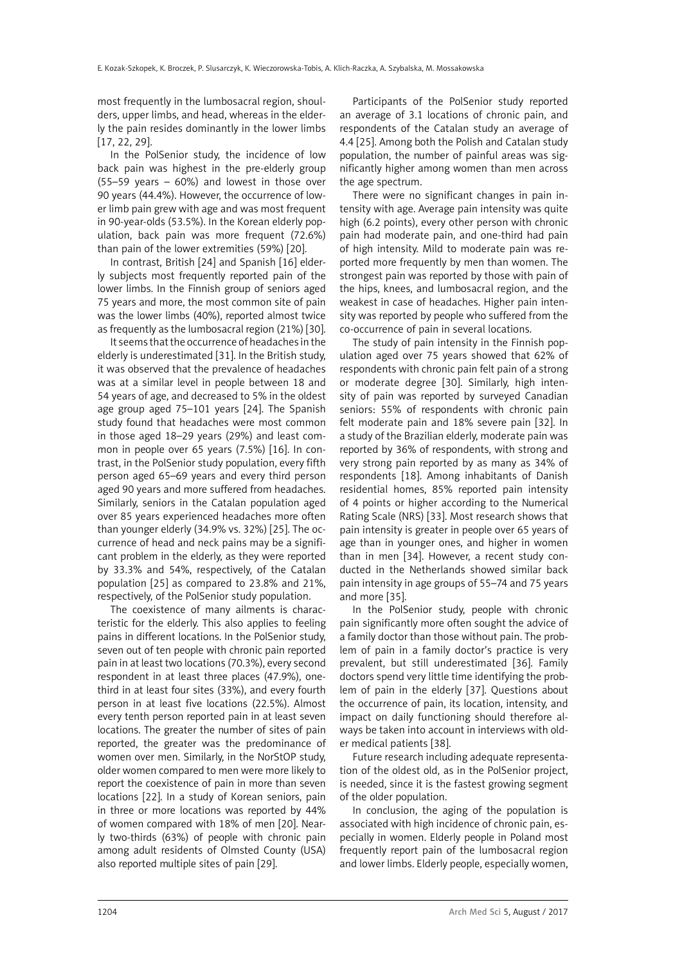most frequently in the lumbosacral region, shoulders, upper limbs, and head, whereas in the elderly the pain resides dominantly in the lower limbs [17, 22, 29].

In the PolSenior study, the incidence of low back pain was highest in the pre-elderly group (55–59 years – 60%) and lowest in those over 90 years (44.4%). However, the occurrence of lower limb pain grew with age and was most frequent in 90-year-olds (53.5%). In the Korean elderly population, back pain was more frequent (72.6%) than pain of the lower extremities (59%) [20].

In contrast, British [24] and Spanish [16] elderly subjects most frequently reported pain of the lower limbs. In the Finnish group of seniors aged 75 years and more, the most common site of pain was the lower limbs (40%), reported almost twice as frequently as the lumbosacral region (21%) [30].

It seems that the occurrence of headaches in the elderly is underestimated [31]. In the British study, it was observed that the prevalence of headaches was at a similar level in people between 18 and 54 years of age, and decreased to 5% in the oldest age group aged 75–101 years [24]. The Spanish study found that headaches were most common in those aged 18–29 years (29%) and least common in people over 65 years (7.5%) [16]. In contrast, in the PolSenior study population, every fifth person aged 65–69 years and every third person aged 90 years and more suffered from headaches. Similarly, seniors in the Catalan population aged over 85 years experienced headaches more often than younger elderly (34.9% vs. 32%) [25]. The occurrence of head and neck pains may be a significant problem in the elderly, as they were reported by 33.3% and 54%, respectively, of the Catalan population [25] as compared to 23.8% and 21%, respectively, of the PolSenior study population.

The coexistence of many ailments is characteristic for the elderly. This also applies to feeling pains in different locations. In the PolSenior study, seven out of ten people with chronic pain reported pain in at least two locations (70.3%), every second respondent in at least three places (47.9%), onethird in at least four sites (33%), and every fourth person in at least five locations (22.5%). Almost every tenth person reported pain in at least seven locations. The greater the number of sites of pain reported, the greater was the predominance of women over men. Similarly, in the NorStOP study, older women compared to men were more likely to report the coexistence of pain in more than seven locations [22]. In a study of Korean seniors, pain in three or more locations was reported by 44% of women compared with 18% of men [20]. Nearly two-thirds (63%) of people with chronic pain among adult residents of Olmsted County (USA) also reported multiple sites of pain [29].

Participants of the PolSenior study reported an average of 3.1 locations of chronic pain, and respondents of the Catalan study an average of 4.4 [25]. Among both the Polish and Catalan study population, the number of painful areas was significantly higher among women than men across the age spectrum.

There were no significant changes in pain intensity with age. Average pain intensity was quite high (6.2 points), every other person with chronic pain had moderate pain, and one-third had pain of high intensity. Mild to moderate pain was reported more frequently by men than women. The strongest pain was reported by those with pain of the hips, knees, and lumbosacral region, and the weakest in case of headaches. Higher pain intensity was reported by people who suffered from the co-occurrence of pain in several locations.

The study of pain intensity in the Finnish population aged over 75 years showed that 62% of respondents with chronic pain felt pain of a strong or moderate degree [30]. Similarly, high intensity of pain was reported by surveyed Canadian seniors: 55% of respondents with chronic pain felt moderate pain and 18% severe pain [32]. In a study of the Brazilian elderly, moderate pain was reported by 36% of respondents, with strong and very strong pain reported by as many as 34% of respondents [18]. Among inhabitants of Danish residential homes, 85% reported pain intensity of 4 points or higher according to the Numerical Rating Scale (NRS) [33]. Most research shows that pain intensity is greater in people over 65 years of age than in younger ones, and higher in women than in men [34]. However, a recent study conducted in the Netherlands showed similar back pain intensity in age groups of 55–74 and 75 years and more [35].

In the PolSenior study, people with chronic pain significantly more often sought the advice of a family doctor than those without pain. The problem of pain in a family doctor's practice is very prevalent, but still underestimated [36]. Family doctors spend very little time identifying the problem of pain in the elderly [37]. Questions about the occurrence of pain, its location, intensity, and impact on daily functioning should therefore always be taken into account in interviews with older medical patients [38].

Future research including adequate representation of the oldest old, as in the PolSenior project, is needed, since it is the fastest growing segment of the older population.

In conclusion, the aging of the population is associated with high incidence of chronic pain, especially in women. Elderly people in Poland most frequently report pain of the lumbosacral region and lower limbs. Elderly people, especially women,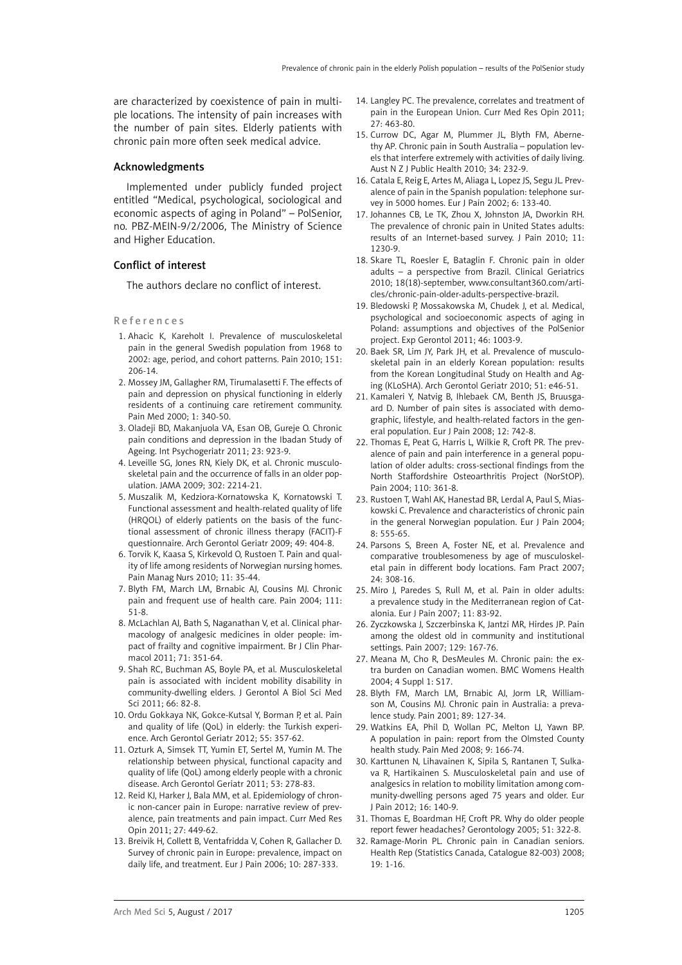are characterized by coexistence of pain in multiple locations. The intensity of pain increases with the number of pain sites. Elderly patients with chronic pain more often seek medical advice.

# Acknowledgments

Implemented under publicly funded project entitled "Medical, psychological, sociological and economic aspects of aging in Poland" – PolSenior, no. PBZ-MEIN-9/2/2006, The Ministry of Science and Higher Education.

# Conflict of interest

The authors declare no conflict of interest.

#### References

- 1. Ahacic K, Kareholt I. Prevalence of musculoskeletal pain in the general Swedish population from 1968 to 2002: age, period, and cohort patterns. Pain 2010; 151: 206-14.
- 2. Mossey JM, Gallagher RM, Tirumalasetti F. The effects of pain and depression on physical functioning in elderly residents of a continuing care retirement community. Pain Med 2000; 1: 340-50.
- 3. Oladeji BD, Makanjuola VA, Esan OB, Gureje O. Chronic pain conditions and depression in the Ibadan Study of Ageing. Int Psychogeriatr 2011; 23: 923-9.
- 4. Leveille SG, Jones RN, Kiely DK, et al. Chronic musculoskeletal pain and the occurrence of falls in an older population. JAMA 2009; 302: 2214-21.
- 5. Muszalik M, Kedziora-Kornatowska K, Kornatowski T. Functional assessment and health-related quality of life (HRQOL) of elderly patients on the basis of the functional assessment of chronic illness therapy (FACIT)-F questionnaire. Arch Gerontol Geriatr 2009; 49: 404-8.
- 6. Torvik K, Kaasa S, Kirkevold O, Rustoen T. Pain and quality of life among residents of Norwegian nursing homes. Pain Manag Nurs 2010; 11: 35-44.
- 7. Blyth FM, March LM, Brnabic AJ, Cousins MJ. Chronic pain and frequent use of health care. Pain 2004; 111: 51-8.
- 8. McLachlan AJ, Bath S, Naganathan V, et al. Clinical pharmacology of analgesic medicines in older people: impact of frailty and cognitive impairment. Br J Clin Pharmacol 2011; 71: 351-64.
- 9. Shah RC, Buchman AS, Boyle PA, et al. Musculoskeletal pain is associated with incident mobility disability in community-dwelling elders. J Gerontol A Biol Sci Med Sci 2011; 66: 82-8.
- 10. Ordu Gokkaya NK, Gokce-Kutsal Y, Borman P, et al. Pain and quality of life (QoL) in elderly: the Turkish experience. Arch Gerontol Geriatr 2012; 55: 357-62.
- 11. Ozturk A, Simsek TT, Yumin ET, Sertel M, Yumin M. The relationship between physical, functional capacity and quality of life (QoL) among elderly people with a chronic disease. Arch Gerontol Geriatr 2011; 53: 278-83.
- 12. Reid KJ, Harker J, Bala MM, et al. Epidemiology of chronic non-cancer pain in Europe: narrative review of prevalence, pain treatments and pain impact. Curr Med Res Opin 2011; 27: 449-62.
- 13. Breivik H, Collett B, Ventafridda V, Cohen R, Gallacher D. Survey of chronic pain in Europe: prevalence, impact on daily life, and treatment. Eur J Pain 2006; 10: 287-333.
- 14. Langley PC. The prevalence, correlates and treatment of pain in the European Union. Curr Med Res Opin 2011; 27: 463-80.
- 15. Currow DC, Agar M, Plummer JL, Blyth FM, Abernethy AP. Chronic pain in South Australia – population levels that interfere extremely with activities of daily living. Aust N Z J Public Health 2010; 34: 232-9.
- 16. Catala E, Reig E, Artes M, Aliaga L, Lopez JS, Segu JL. Prevalence of pain in the Spanish population: telephone survey in 5000 homes. Eur J Pain 2002; 6: 133-40.
- 17. Johannes CB, Le TK, Zhou X, Johnston JA, Dworkin RH. The prevalence of chronic pain in United States adults: results of an Internet-based survey. J Pain 2010; 11: 1230-9.
- 18. Skare TL, Roesler E, Bataglin F. Chronic pain in older adults – a perspective from Brazil. Clinical Geriatrics 2010; 18(18)-september, www.consultant360.com/articles/chronic-pain-older-adults-perspective-brazil.
- 19. Bledowski P, Mossakowska M, Chudek J, et al. Medical, psychological and socioeconomic aspects of aging in Poland: assumptions and objectives of the PolSenior project. Exp Gerontol 2011; 46: 1003-9.
- 20. Baek SR, Lim JY, Park JH, et al. Prevalence of musculoskeletal pain in an elderly Korean population: results from the Korean Longitudinal Study on Health and Aging (KLoSHA). Arch Gerontol Geriatr 2010; 51: e46-51.
- 21. Kamaleri Y, Natvig B, Ihlebaek CM, Benth JS, Bruusgaard D. Number of pain sites is associated with demographic, lifestyle, and health-related factors in the general population. Eur J Pain 2008; 12: 742-8.
- 22. Thomas E, Peat G, Harris L, Wilkie R, Croft PR. The prevalence of pain and pain interference in a general population of older adults: cross-sectional findings from the North Staffordshire Osteoarthritis Project (NorStOP). Pain 2004; 110: 361-8.
- 23. Rustoen T, Wahl AK, Hanestad BR, Lerdal A, Paul S, Miaskowski C. Prevalence and characteristics of chronic pain in the general Norwegian population. Eur J Pain 2004; 8: 555-65.
- 24. Parsons S, Breen A, Foster NE, et al. Prevalence and comparative troublesomeness by age of musculoskeletal pain in different body locations. Fam Pract 2007; 24: 308-16.
- 25. Miro J, Paredes S, Rull M, et al. Pain in older adults: a prevalence study in the Mediterranean region of Catalonia. Eur J Pain 2007; 11: 83-92.
- 26. Zyczkowska J, Szczerbinska K, Jantzi MR, Hirdes JP. Pain among the oldest old in community and institutional settings. Pain 2007; 129: 167-76.
- 27. Meana M, Cho R, DesMeules M. Chronic pain: the extra burden on Canadian women. BMC Womens Health 2004; 4 Suppl 1: S17.
- 28. Blyth FM, March LM, Brnabic AJ, Jorm LR, Williamson M, Cousins MJ. Chronic pain in Australia: a prevalence study. Pain 2001; 89: 127-34.
- 29. Watkins EA, Phil D, Wollan PC, Melton LJ, Yawn BP. A population in pain: report from the Olmsted County health study. Pain Med 2008; 9: 166-74.
- 30. Karttunen N, Lihavainen K, Sipila S, Rantanen T, Sulkava R, Hartikainen S. Musculoskeletal pain and use of analgesics in relation to mobility limitation among community-dwelling persons aged 75 years and older. Eur J Pain 2012; 16: 140-9.
- 31. Thomas E, Boardman HF, Croft PR. Why do older people report fewer headaches? Gerontology 2005; 51: 322-8.
- 32. Ramage-Morin PL. Chronic pain in Canadian seniors. Health Rep (Statistics Canada, Catalogue 82-003) 2008; 19: 1-16.